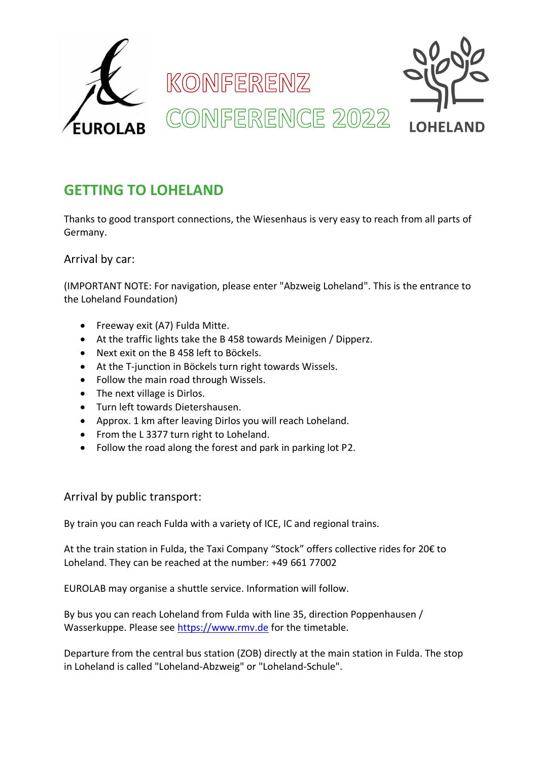

# **GETTING TO LOHELAND**

Thanks to good transport connections, the Wiesenhaus is very easy to reach from all parts of Germany.

Arrival by car:

(IMPORTANT NOTE: For navigation, please enter "Abzweig Loheland". This is the entrance to the Loheland Foundation)

- Freeway exit (A7) Fulda Mitte.
- At the traffic lights take the B 458 towards Meinigen / Dipperz.
- Next exit on the B 458 left to Böckels.
- At the T-junction in Böckels turn right towards Wissels.
- Follow the main road through Wissels.
- The next village is Dirlos.
- Turn left towards Dietershausen.
- Approx. 1 km after leaving Dirlos you will reach Loheland.
- From the L 3377 turn right to Loheland.
- Follow the road along the forest and park in parking lot P2.

Arrival by public transport:

By train you can reach Fulda with a variety of ICE, IC and regional trains.

At the train station in Fulda, the Taxi Company "Stock" offers collective rides for 20€ to Loheland. They can be reached at the number: +49 661 77002

EUROLAB may organise a shuttle service. Information will follow.

By bus you can reach Loheland from Fulda with line 35, direction Poppenhausen / Wasserkuppe. Please see https://www.rmv.de for the timetable.

Departure from the central bus station (ZOB) directly at the main station in Fulda. The stop in Loheland is called "Loheland-Abzweig" or "Loheland-Schule".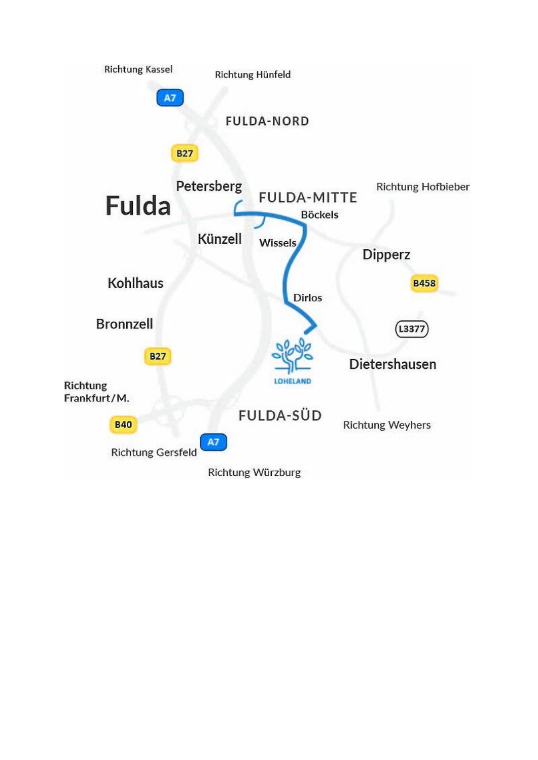